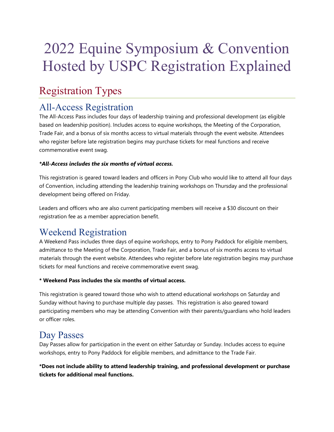# 2022 Equine Symposium & Convention Hosted by USPC Registration Explained

# Registration Types

### All-Access Registration

The All-Access Pass includes four days of leadership training and professional development (as eligible based on leadership position). Includes access to equine workshops, the Meeting of the Corporation, Trade Fair, and a bonus of six months access to virtual materials through the event website. Attendees who register before late registration begins may purchase tickets for meal functions and receive commemorative event swag.

#### *\*All-Access includes the six months of virtual access.*

This registration is geared toward leaders and officers in Pony Club who would like to attend all four days of Convention, including attending the leadership training workshops on Thursday and the professional development being offered on Friday.

Leaders and officers who are also current participating members will receive a \$30 discount on their registration fee as a member appreciation benefit.

### Weekend Registration

A Weekend Pass includes three days of equine workshops, entry to Pony Paddock for eligible members, admittance to the Meeting of the Corporation, Trade Fair, and a bonus of six months access to virtual materials through the event website. Attendees who register before late registration begins may purchase tickets for meal functions and receive commemorative event swag.

#### **\* Weekend Pass includes the six months of virtual access.**

This registration is geared toward those who wish to attend educational workshops on Saturday and Sunday without having to purchase multiple day passes. This registration is also geared toward participating members who may be attending Convention with their parents/guardians who hold leaders or officer roles.

### Day Passes

Day Passes allow for participation in the event on either Saturday or Sunday. Includes access to equine workshops, entry to Pony Paddock for eligible members, and admittance to the Trade Fair.

**\*Does not include ability to attend leadership training, and professional development or purchase tickets for additional meal functions.**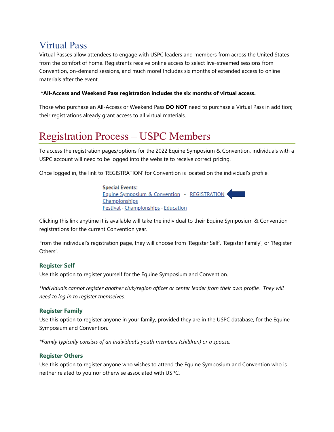### Virtual Pass

Virtual Passes allow attendees to engage with USPC leaders and members from across the United States from the comfort of home. Registrants receive online access to select live-streamed sessions from Convention, on-demand sessions, and much more! Includes six months of extended access to online materials after the event.

#### **\*All-Access and Weekend Pass registration includes the six months of virtual access.**

Those who purchase an All-Access or Weekend Pass **DO NOT** need to purchase a Virtual Pass in addition; their registrations already grant access to all virtual materials.

# Registration Process – USPC Members

To access the registration pages/options for the 2022 Equine Symposium & Convention, individuals with a USPC account will need to be logged into the website to receive correct pricing.

Once logged in, the link to 'REGISTRATION' for Convention is located on the individual's profile.

**Special Events:** Equine Symposium & Convention - REGISTRATION Championships **Festival - Championships - Education** 

Clicking this link anytime it is available will take the individual to their Equine Symposium & Convention registrations for the current Convention year.

From the individual's registration page, they will choose from 'Register Self', 'Register Family', or 'Register Others'.

#### **Register Self**

Use this option to register yourself for the Equine Symposium and Convention.

*\*Individuals cannot register another club/region officer or center leader from their own profile. They will need to log in to register themselves.*

#### **Register Family**

Use this option to register anyone in your family, provided they are in the USPC database, for the Equine Symposium and Convention.

*\*Family typically consists of an individual's youth members (children) or a spouse.*

#### **Register Others**

Use this option to register anyone who wishes to attend the Equine Symposium and Convention who is neither related to you nor otherwise associated with USPC.